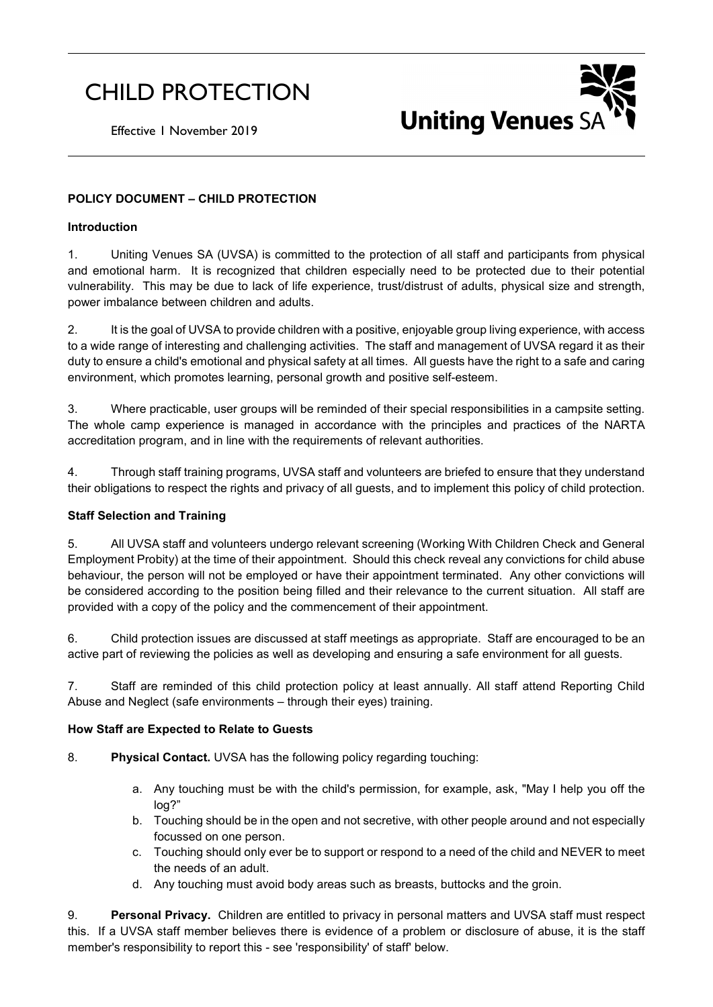# CHILD PROTECTION



Effective 1 November 2019

## **POLICY DOCUMENT – CHILD PROTECTION**

#### **Introduction**

1. Uniting Venues SA (UVSA) is committed to the protection of all staff and participants from physical and emotional harm. It is recognized that children especially need to be protected due to their potential vulnerability. This may be due to lack of life experience, trust/distrust of adults, physical size and strength, power imbalance between children and adults.

2. It is the goal of UVSA to provide children with a positive, enjoyable group living experience, with access to a wide range of interesting and challenging activities. The staff and management of UVSA regard it as their duty to ensure a child's emotional and physical safety at all times. All guests have the right to a safe and caring environment, which promotes learning, personal growth and positive self-esteem.

3. Where practicable, user groups will be reminded of their special responsibilities in a campsite setting. The whole camp experience is managed in accordance with the principles and practices of the NARTA accreditation program, and in line with the requirements of relevant authorities.

4. Through staff training programs, UVSA staff and volunteers are briefed to ensure that they understand their obligations to respect the rights and privacy of all guests, and to implement this policy of child protection.

#### **Staff Selection and Training**

5. All UVSA staff and volunteers undergo relevant screening (Working With Children Check and General Employment Probity) at the time of their appointment. Should this check reveal any convictions for child abuse behaviour, the person will not be employed or have their appointment terminated. Any other convictions will be considered according to the position being filled and their relevance to the current situation. All staff are provided with a copy of the policy and the commencement of their appointment.

6. Child protection issues are discussed at staff meetings as appropriate. Staff are encouraged to be an active part of reviewing the policies as well as developing and ensuring a safe environment for all guests.

7. Staff are reminded of this child protection policy at least annually. All staff attend Reporting Child Abuse and Neglect (safe environments – through their eyes) training.

#### **How Staff are Expected to Relate to Guests**

- 8. **Physical Contact.** UVSA has the following policy regarding touching:
	- a. Any touching must be with the child's permission, for example, ask, "May I help you off the log?"
	- b. Touching should be in the open and not secretive, with other people around and not especially focussed on one person.
	- c. Touching should only ever be to support or respond to a need of the child and NEVER to meet the needs of an adult.
	- d. Any touching must avoid body areas such as breasts, buttocks and the groin.

9. **Personal Privacy.** Children are entitled to privacy in personal matters and UVSA staff must respect this. If a UVSA staff member believes there is evidence of a problem or disclosure of abuse, it is the staff member's responsibility to report this - see 'responsibility' of staff' below.